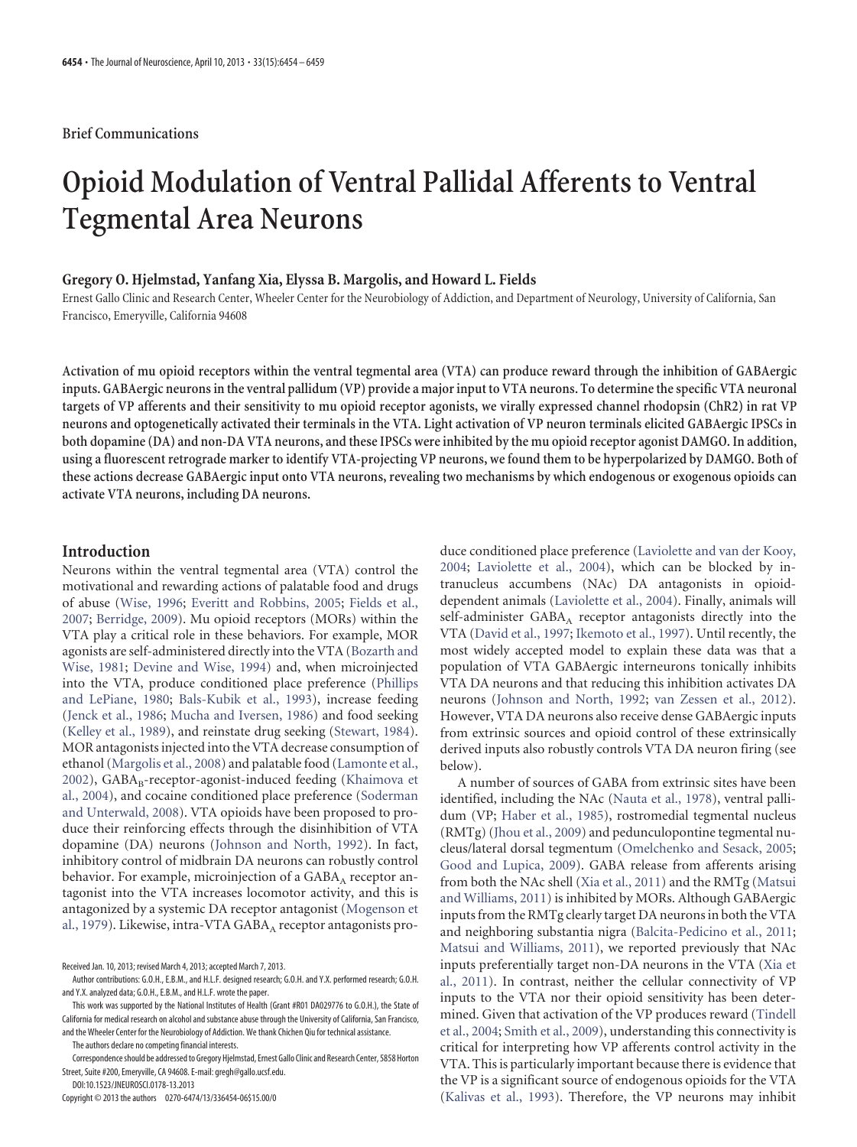# **Opioid Modulation of Ventral Pallidal Afferents to Ventral Tegmental Area Neurons**

#### **Gregory O. Hjelmstad, Yanfang Xia, Elyssa B. Margolis, and Howard L. Fields**

Ernest Gallo Clinic and Research Center, Wheeler Center for the Neurobiology of Addiction, and Department of Neurology, University of California, San Francisco, Emeryville, California 94608

**Activation of mu opioid receptors within the ventral tegmental area (VTA) can produce reward through the inhibition of GABAergic inputs. GABAergic neurons in the ventral pallidum (VP) provide a major input to VTA neurons. To determine the specific VTA neuronal targets of VP afferents and their sensitivity to mu opioid receptor agonists, we virally expressed channel rhodopsin (ChR2) in rat VP neurons and optogenetically activated their terminals in the VTA. Light activation of VP neuron terminals elicited GABAergic IPSCs in both dopamine (DA) and non-DA VTA neurons, and these IPSCs were inhibited by the mu opioid receptor agonist DAMGO. In addition, using a fluorescent retrograde marker to identify VTA-projecting VP neurons, we found them to be hyperpolarized by DAMGO. Both of these actions decrease GABAergic input onto VTA neurons, revealing two mechanisms by which endogenous or exogenous opioids can activate VTA neurons, including DA neurons.**

# **Introduction**

Neurons within the ventral tegmental area (VTA) control the motivational and rewarding actions of palatable food and drugs of abuse [\(Wise, 1996;](#page-5-0) [Everitt and Robbins, 2005;](#page-4-0) [Fields et al.,](#page-4-1) [2007;](#page-4-1) [Berridge, 2009\)](#page-4-2). Mu opioid receptors (MORs) within the VTA play a critical role in these behaviors. For example, MOR agonists are self-administered directly into the VTA [\(Bozarth and](#page-4-3) [Wise, 1981;](#page-4-3) [Devine and Wise, 1994\)](#page-4-4) and, when microinjected into the VTA, produce conditioned place preference [\(Phillips](#page-5-1) [and LePiane, 1980;](#page-5-1) [Bals-Kubik et al., 1993\)](#page-4-5), increase feeding [\(Jenck et al., 1986;](#page-4-6) [Mucha and Iversen, 1986\)](#page-5-2) and food seeking [\(Kelley et al., 1989\)](#page-4-7), and reinstate drug seeking [\(Stewart, 1984\)](#page-5-3). MOR antagonists injected into the VTA decrease consumption of ethanol [\(Margolis et al., 2008\)](#page-5-4) and palatable food [\(Lamonte et al.,](#page-5-5) [2002\)](#page-5-5), GABA<sub>B</sub>-receptor-agonist-induced feeding [\(Khaimova et](#page-5-6) [al., 2004\)](#page-5-6), and cocaine conditioned place preference [\(Soderman](#page-5-7) [and Unterwald, 2008\)](#page-5-7). VTA opioids have been proposed to produce their reinforcing effects through the disinhibition of VTA dopamine (DA) neurons [\(Johnson and North, 1992\)](#page-4-8). In fact, inhibitory control of midbrain DA neurons can robustly control behavior. For example, microinjection of a  $GABA_A$  receptor antagonist into the VTA increases locomotor activity, and this is antagonized by a systemic DA receptor antagonist [\(Mogenson et](#page-5-8) [al., 1979\)](#page-5-8). Likewise, intra-VTA GABA<sub>A</sub> receptor antagonists pro-

Received Jan. 10, 2013; revised March 4, 2013; accepted March 7, 2013.

This work was supported by the National Institutes of Health (Grant #R01 DA029776 to G.O.H.), the State of California for medical research on alcohol and substance abuse through the University of California, San Francisco, and the Wheeler Center for the Neurobiology of Addiction. We thank Chichen Qiu for technical assistance.

The authors declare no competing financial interests.

Correspondence should be addressed to Gregory Hjelmstad, Ernest Gallo Clinic and Research Center, 5858 Horton Street, Suite #200, Emeryville, CA 94608. E-mail: gregh@gallo.ucsf.edu.

DOI:10.1523/JNEUROSCI.0178-13.2013

Copyright © 2013 the authors 0270-6474/13/336454-06\$15.00/0

duce conditioned place preference [\(Laviolette and van der Kooy,](#page-5-9) [2004;](#page-5-9) [Laviolette et al., 2004\)](#page-5-10), which can be blocked by intranucleus accumbens (NAc) DA antagonists in opioiddependent animals [\(Laviolette et al., 2004\)](#page-5-10). Finally, animals will self-administer GABA<sub>A</sub> receptor antagonists directly into the VTA [\(David et al., 1997;](#page-4-9) [Ikemoto et al., 1997\)](#page-4-10). Until recently, the most widely accepted model to explain these data was that a population of VTA GABAergic interneurons tonically inhibits VTA DA neurons and that reducing this inhibition activates DA neurons [\(Johnson and North, 1992;](#page-4-8) [van Zessen et al., 2012\)](#page-5-11). However, VTA DA neurons also receive dense GABAergic inputs from extrinsic sources and opioid control of these extrinsically derived inputs also robustly controls VTA DA neuron firing (see below).

A number of sources of GABA from extrinsic sites have been identified, including the NAc [\(Nauta et al., 1978\)](#page-5-12), ventral pallidum (VP; [Haber et al., 1985\)](#page-4-11), rostromedial tegmental nucleus (RMTg) [\(Jhou et al., 2009\)](#page-4-12) and pedunculopontine tegmental nucleus/lateral dorsal tegmentum [\(Omelchenko and Sesack, 2005;](#page-5-13) [Good and Lupica, 2009\)](#page-4-13). GABA release from afferents arising from both the NAc shell [\(Xia et al., 2011\)](#page-5-14) and the RMTg [\(Matsui](#page-5-15) [and Williams, 2011\)](#page-5-15) is inhibited by MORs. Although GABAergic inputs from the RMTg clearly target DA neurons in both the VTA and neighboring substantia nigra [\(Balcita-Pedicino et al., 2011;](#page-4-14) [Matsui and Williams, 2011\)](#page-5-15), we reported previously that NAc inputs preferentially target non-DA neurons in the VTA [\(Xia et](#page-5-14) [al., 2011\)](#page-5-14). In contrast, neither the cellular connectivity of VP inputs to the VTA nor their opioid sensitivity has been determined. Given that activation of the VP produces reward [\(Tindell](#page-5-16) [et al., 2004;](#page-5-16) [Smith et al., 2009\)](#page-5-17), understanding this connectivity is critical for interpreting how VP afferents control activity in the VTA. This is particularly important because there is evidence that the VP is a significant source of endogenous opioids for the VTA [\(Kalivas et al., 1993\)](#page-4-15). Therefore, the VP neurons may inhibit

Author contributions: G.O.H., E.B.M., and H.L.F. designed research; G.O.H. and Y.X. performed research; G.O.H. and Y.X. analyzed data; G.O.H., E.B.M., and H.L.F. wrote the paper.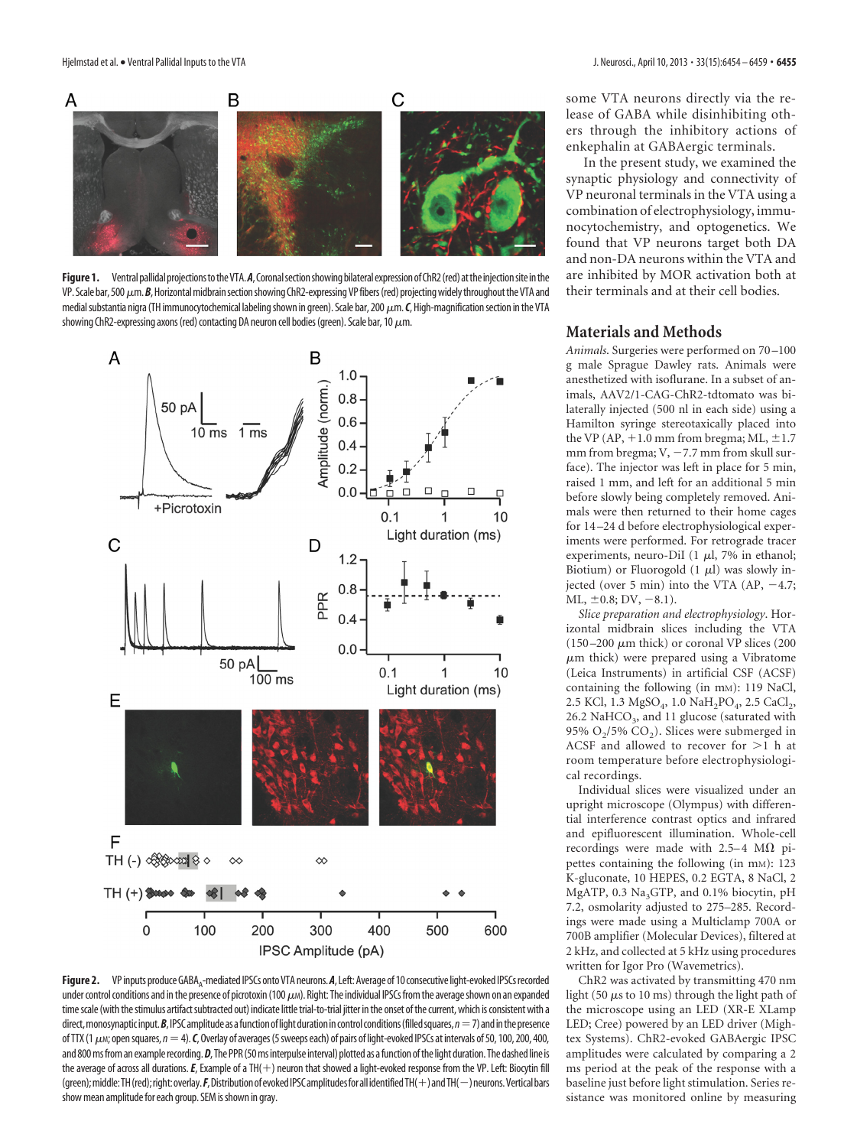

<span id="page-1-0"></span>Figure 1. Ventral pallidal projections to the VTA. A, Coronal section showing bilateral expression of ChR2 (red) at the injection site in the VP. Scale bar, 500  $\mu$ m. **B**, Horizontal midbrain section showing ChR2-expressing VP fibers (red) projecting widely throughout the VTA and medial substantia nigra (TH immunocytochemical labeling shown in green). Scale bar, 200  $\mu$ m. C, High-magnification section in the VTA showing ChR2-expressing axons (red) contacting DA neuron cell bodies (green). Scale bar, 10  $\mu$ m.



<span id="page-1-1"></span>Figure 2. VP inputs produce GABA<sub>A</sub>-mediated IPSCs onto VTA neurons. A, Left: Average of 10 consecutive light-evoked IPSCs recorded under control conditions and in the presence of picrotoxin (100  $\mu$ M). Right: The individual IPSCs from the average shown on an expanded time scale (with the stimulus artifact subtracted out) indicate little trial-to-trial jitter in the onset of the current, which is consistent with a direct, monosynaptic input.  $B$ , IPSC amplitude as a function of light duration in control conditions (filled squares,  $n = 7$ ) and in the presence of TTX (1  $\mu$ <sub>M</sub>; open squares,  $n = 4$ ). *C*, Overlay of averages (5 sweeps each) of pairs of light-evoked IPSCs at intervals of 50, 100, 200, 400, and 800 ms from an example recording. D, The PPR (50 ms interpulse interval) plotted as a function of the light duration. The dashed line is the average of across all durations. E, Example of a TH(+) neuron that showed a light-evoked response from the VP. Left: Biocytin fill (green); middle: TH(red); right: overlay. F, Distribution of evoked IPSC amplitudes for all identified TH(+) and TH(-) neurons. Vertical bars show mean amplitude for each group. SEM is shown in gray.

some VTA neurons directly via the release of GABA while disinhibiting others through the inhibitory actions of enkephalin at GABAergic terminals.

In the present study, we examined the synaptic physiology and connectivity of VP neuronal terminals in the VTA using a combination of electrophysiology, immunocytochemistry, and optogenetics. We found that VP neurons target both DA and non-DA neurons within the VTA and are inhibited by MOR activation both at their terminals and at their cell bodies.

### **Materials and Methods**

Animals. Surgeries were performed on 70-100 g male Sprague Dawley rats. Animals were anesthetized with isoflurane. In a subset of animals, AAV2/1-CAG-ChR2-tdtomato was bilaterally injected (500 nl in each side) using a Hamilton syringe stereotaxically placed into the VP (AP,  $+1.0$  mm from bregma; ML,  $\pm 1.7$ mm from bregma;  $V, -7.7$  mm from skull surface). The injector was left in place for 5 min, raised 1 mm, and left for an additional 5 min before slowly being completely removed. Animals were then returned to their home cages for 14 –24 d before electrophysiological experiments were performed. For retrograde tracer experiments, neuro-DiI (1  $\mu$ l, 7% in ethanol; Biotium) or Fluorogold  $(1 \mu l)$  was slowly injected (over 5 min) into the VTA  $(AP, -4.7;$  $ML, \pm 0.8; DV, -8.1$ ).

*Slice preparation and electrophysiology*. Horizontal midbrain slices including the VTA (150 –200  $\mu$ m thick) or coronal VP slices (200  $\mu$ m thick) were prepared using a Vibratome (Leica Instruments) in artificial CSF (ACSF) containing the following (in mm): 119 NaCl, 2.5 KCl, 1.3 MgSO<sub>4</sub>, 1.0 NaH<sub>2</sub>PO<sub>4</sub>, 2.5 CaCl<sub>2</sub>, 26.2 NaHCO<sub>3</sub>, and 11 glucose (saturated with 95%  $O_2/5$ %  $CO_2$ ). Slices were submerged in ACSF and allowed to recover for  $>1$  h at room temperature before electrophysiological recordings.

Individual slices were visualized under an upright microscope (Olympus) with differential interference contrast optics and infrared and epifluorescent illumination. Whole-cell recordings were made with  $2.5-4$  M $\Omega$  pipettes containing the following (in mm): 123 K-gluconate, 10 HEPES, 0.2 EGTA, 8 NaCl, 2 MgATP, 0.3 Na<sub>3</sub>GTP, and 0.1% biocytin, pH 7.2, osmolarity adjusted to 275–285. Recordings were made using a Multiclamp 700A or 700B amplifier (Molecular Devices), filtered at 2 kHz, and collected at 5 kHz using procedures written for Igor Pro (Wavemetrics).

ChR2 was activated by transmitting 470 nm light (50  $\mu$ s to 10 ms) through the light path of the microscope using an LED (XR-E XLamp LED; Cree) powered by an LED driver (Mightex Systems). ChR2-evoked GABAergic IPSC amplitudes were calculated by comparing a 2 ms period at the peak of the response with a baseline just before light stimulation. Series resistance was monitored online by measuring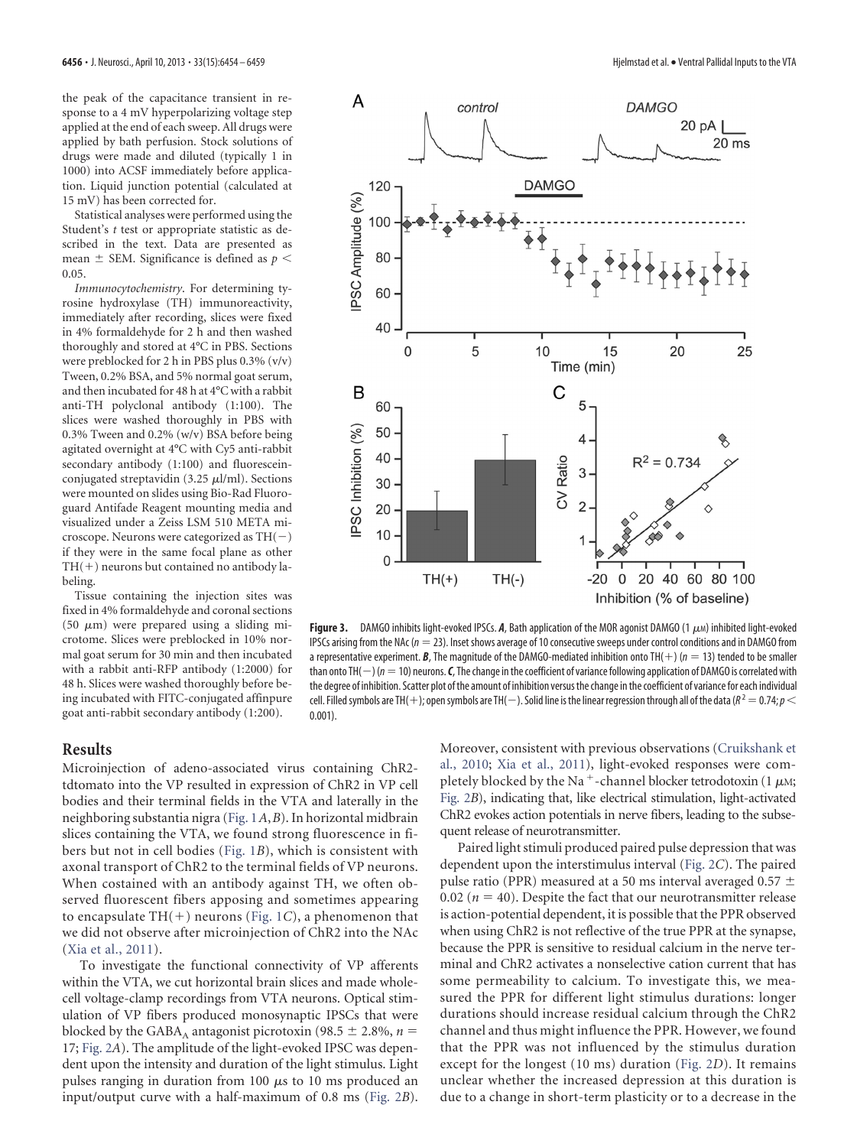the peak of the capacitance transient in response to a 4 mV hyperpolarizing voltage step applied at the end of each sweep. All drugs were applied by bath perfusion. Stock solutions of drugs were made and diluted (typically 1 in 1000) into ACSF immediately before application. Liquid junction potential (calculated at 15 mV) has been corrected for.

Statistical analyses were performed using the Student's *t* test or appropriate statistic as described in the text. Data are presented as mean  $\pm$  SEM. Significance is defined as  $p <$ 0.05.

*Immunocytochemistry*. For determining tyrosine hydroxylase (TH) immunoreactivity, immediately after recording, slices were fixed in 4% formaldehyde for 2 h and then washed thoroughly and stored at 4°C in PBS. Sections were preblocked for 2 h in PBS plus 0.3% (v/v) Tween, 0.2% BSA, and 5% normal goat serum, and then incubated for 48 h at 4°C with a rabbit anti-TH polyclonal antibody (1:100). The slices were washed thoroughly in PBS with 0.3% Tween and 0.2% (w/v) BSA before being agitated overnight at 4°C with Cy5 anti-rabbit secondary antibody (1:100) and fluoresceinconjugated streptavidin (3.25  $\mu$ l/ml). Sections were mounted on slides using Bio-Rad Fluoroguard Antifade Reagent mounting media and visualized under a Zeiss LSM 510 META microscope. Neurons were categorized as  $TH(-)$ if they were in the same focal plane as other  $TH(+)$  neurons but contained no antibody labeling.

Tissue containing the injection sites was fixed in 4% formaldehyde and coronal sections (50  $\mu$ m) were prepared using a sliding microtome. Slices were preblocked in 10% normal goat serum for 30 min and then incubated with a rabbit anti-RFP antibody (1:2000) for 48 h. Slices were washed thoroughly before being incubated with FITC-conjugated affinpure goat anti-rabbit secondary antibody (1:200).

# **Results**

Microinjection of adeno-associated virus containing ChR2 tdtomato into the VP resulted in expression of ChR2 in VP cell bodies and their terminal fields in the VTA and laterally in the neighboring substantia nigra [\(Fig. 1](#page-1-0)*A*,*B*). In horizontal midbrain slices containing the VTA, we found strong fluorescence in fibers but not in cell bodies [\(Fig. 1](#page-1-0)*B*), which is consistent with axonal transport of ChR2 to the terminal fields of VP neurons. When costained with an antibody against TH, we often observed fluorescent fibers apposing and sometimes appearing to encapsulate  $TH(+)$  neurons [\(Fig. 1](#page-1-0)*C*), a phenomenon that we did not observe after microinjection of ChR2 into the NAc [\(Xia et al., 2011\)](#page-5-14).

0.001).

To investigate the functional connectivity of VP afferents within the VTA, we cut horizontal brain slices and made wholecell voltage-clamp recordings from VTA neurons. Optical stimulation of VP fibers produced monosynaptic IPSCs that were blocked by the GABA<sub>A</sub> antagonist picrotoxin (98.5  $\pm$  2.8%, *n* = 17; [Fig. 2](#page-1-1)*A*). The amplitude of the light-evoked IPSC was dependent upon the intensity and duration of the light stimulus. Light pulses ranging in duration from 100  $\mu$ s to 10 ms produced an input/output curve with a half-maximum of 0.8 ms [\(Fig. 2](#page-1-1)*B*). Moreover, consistent with previous observations [\(Cruikshank et](#page-4-16) [al., 2010;](#page-4-16) [Xia et al., 2011\)](#page-5-14), light-evoked responses were completely blocked by the Na<sup>+</sup>-channel blocker tetrodotoxin (1  $\mu$ M; [Fig. 2](#page-1-1)*B*), indicating that, like electrical stimulation, light-activated ChR2 evokes action potentials in nerve fibers, leading to the subsequent release of neurotransmitter.

Paired light stimuli produced paired pulse depression that was dependent upon the interstimulus interval [\(Fig. 2](#page-1-1)*C*). The paired pulse ratio (PPR) measured at a 50 ms interval averaged 0.57  $\pm$ 0.02 ( $n = 40$ ). Despite the fact that our neurotransmitter release is action-potential dependent, it is possible that the PPR observed when using ChR2 is not reflective of the true PPR at the synapse, because the PPR is sensitive to residual calcium in the nerve terminal and ChR2 activates a nonselective cation current that has some permeability to calcium. To investigate this, we measured the PPR for different light stimulus durations: longer durations should increase residual calcium through the ChR2 channel and thus might influence the PPR. However, we found that the PPR was not influenced by the stimulus duration except for the longest (10 ms) duration [\(Fig. 2](#page-1-1)*D*). It remains unclear whether the increased depression at this duration is due to a change in short-term plasticity or to a decrease in the

<span id="page-2-0"></span>

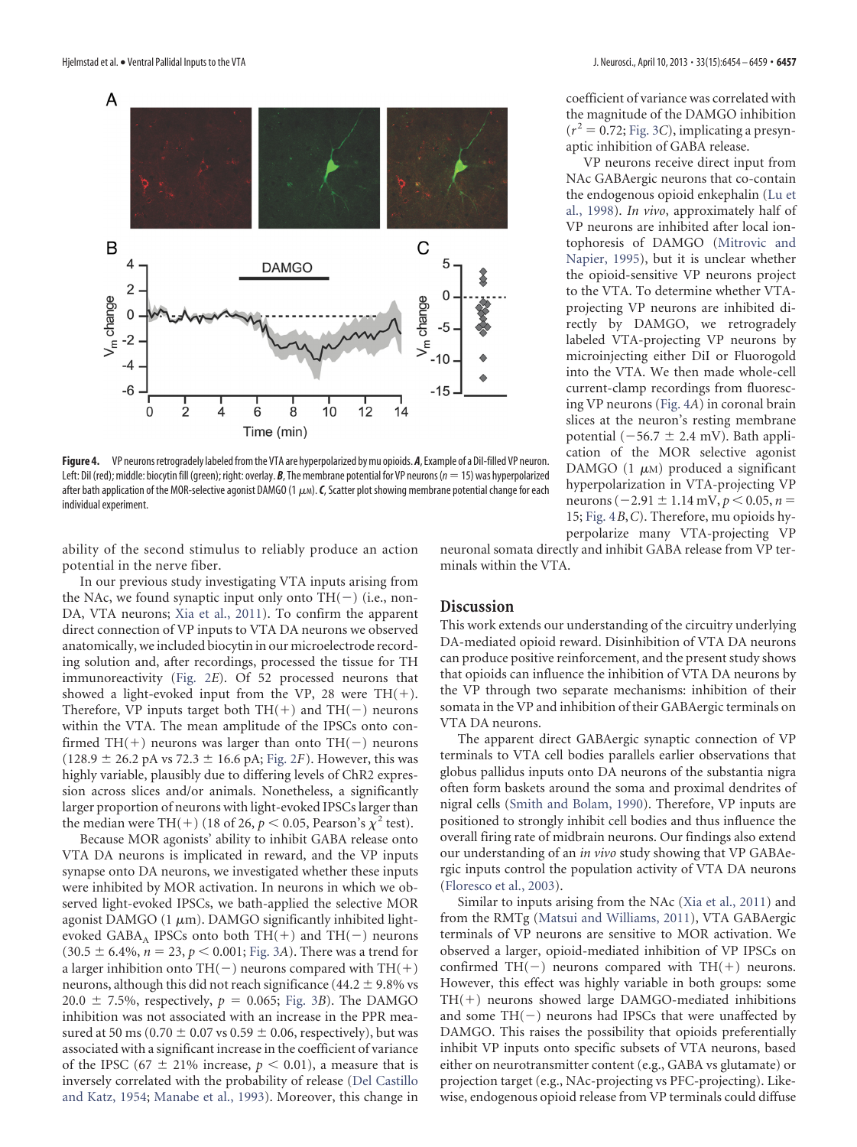individual experiment.



<span id="page-3-0"></span>Left: DiI (red); middle: biocytin fill (green); right: overlay. *B*, The membrane potential for VP neurons (*n*15) was hyperpolarized after bath application of the MOR-selective agonist DAMGO (1  $\mu$ M). *C*, Scatter plot showing membrane potential change for each

the magnitude of the DAMGO inhibition  $(r^2 = 0.72;$  [Fig. 3](#page-2-0)*C*), implicating a presynaptic inhibition of GABA release.

VP neurons receive direct input from NAc GABAergic neurons that co-contain the endogenous opioid enkephalin [\(Lu et](#page-5-19) [al., 1998\)](#page-5-19). *In vivo*, approximately half of VP neurons are inhibited after local iontophoresis of DAMGO [\(Mitrovic and](#page-5-20) [Napier, 1995\)](#page-5-20), but it is unclear whether the opioid-sensitive VP neurons project to the VTA. To determine whether VTAprojecting VP neurons are inhibited directly by DAMGO, we retrogradely labeled VTA-projecting VP neurons by microinjecting either DiI or Fluorogold into the VTA. We then made whole-cell current-clamp recordings from fluorescing VP neurons [\(Fig. 4](#page-3-0)*A*) in coronal brain slices at the neuron's resting membrane potential  $(-56.7 \pm 2.4 \text{ mV})$ . Bath application of the MOR selective agonist DAMGO  $(1 \mu M)$  produced a significant hyperpolarization in VTA-projecting VP neurons ( $-2.91 \pm 1.14$  mV,  $p < 0.05$ ,  $n =$ 15; [Fig. 4](#page-3-0)*B*,*C*). Therefore, mu opioids hyperpolarize many VTA-projecting VP

ability of the second stimulus to reliably produce an action potential in the nerve fiber.

In our previous study investigating VTA inputs arising from the NAc, we found synaptic input only onto  $TH(-)$  (i.e., non-DA, VTA neurons; [Xia et al., 2011\)](#page-5-14). To confirm the apparent direct connection of VP inputs to VTA DA neurons we observed anatomically, we included biocytin in our microelectrode recording solution and, after recordings, processed the tissue for TH immunoreactivity [\(Fig. 2](#page-1-1)*E*). Of 52 processed neurons that showed a light-evoked input from the VP, 28 were  $TH(+)$ . Therefore, VP inputs target both  $TH(+)$  and  $TH(-)$  neurons within the VTA. The mean amplitude of the IPSCs onto confirmed TH(+) neurons was larger than onto TH(-) neurons  $(128.9 \pm 26.2 \text{ pA vs } 72.3 \pm 16.6 \text{ pA}; \text{Fig. 2F}).$  $(128.9 \pm 26.2 \text{ pA vs } 72.3 \pm 16.6 \text{ pA}; \text{Fig. 2F}).$  $(128.9 \pm 26.2 \text{ pA vs } 72.3 \pm 16.6 \text{ pA}; \text{Fig. 2F}).$  However, this was highly variable, plausibly due to differing levels of ChR2 expression across slices and/or animals. Nonetheless, a significantly larger proportion of neurons with light-evoked IPSCs larger than the median were TH(+) (18 of 26,  $p < 0.05$ , Pearson's  $\chi^2$  test).

Because MOR agonists' ability to inhibit GABA release onto VTA DA neurons is implicated in reward, and the VP inputs synapse onto DA neurons, we investigated whether these inputs were inhibited by MOR activation. In neurons in which we observed light-evoked IPSCs, we bath-applied the selective MOR agonist DAMGO (1  $\mu$ m). DAMGO significantly inhibited lightevoked GABA<sub>A</sub> IPSCs onto both TH(+) and TH(-) neurons  $(30.5 \pm 6.4\%, n = 23, p < 0.001;$  [Fig. 3](#page-2-0)*A*). There was a trend for a larger inhibition onto TH(-) neurons compared with TH(+) neurons, although this did not reach significance (44.2  $\pm$  9.8% vs  $20.0 \pm 7.5\%$ , respectively,  $p = 0.065$ ; [Fig. 3](#page-2-0)*B*). The DAMGO inhibition was not associated with an increase in the PPR measured at 50 ms (0.70  $\pm$  0.07 vs 0.59  $\pm$  0.06, respectively), but was associated with a significant increase in the coefficient of variance of the IPSC  $(67 \pm 21\%$  increase,  $p < 0.01$ ), a measure that is inversely correlated with the probability of release [\(Del Castillo](#page-4-17) [and Katz, 1954;](#page-4-17) [Manabe et al., 1993\)](#page-5-18). Moreover, this change in neuronal somata directly and inhibit GABA release from VP terminals within the VTA.

### **Discussion**

This work extends our understanding of the circuitry underlying DA-mediated opioid reward. Disinhibition of VTA DA neurons can produce positive reinforcement, and the present study shows that opioids can influence the inhibition of VTA DA neurons by the VP through two separate mechanisms: inhibition of their somata in the VP and inhibition of their GABAergic terminals on VTA DA neurons.

The apparent direct GABAergic synaptic connection of VP terminals to VTA cell bodies parallels earlier observations that globus pallidus inputs onto DA neurons of the substantia nigra often form baskets around the soma and proximal dendrites of nigral cells [\(Smith and Bolam, 1990\)](#page-5-21). Therefore, VP inputs are positioned to strongly inhibit cell bodies and thus influence the overall firing rate of midbrain neurons. Our findings also extend our understanding of an *in vivo* study showing that VP GABAergic inputs control the population activity of VTA DA neurons [\(Floresco et al., 2003\)](#page-4-18).

Similar to inputs arising from the NAc [\(Xia et al., 2011\)](#page-5-14) and from the RMTg [\(Matsui and Williams, 2011\)](#page-5-15), VTA GABAergic terminals of VP neurons are sensitive to MOR activation. We observed a larger, opioid-mediated inhibition of VP IPSCs on confirmed TH(-) neurons compared with TH(+) neurons. However, this effect was highly variable in both groups: some  $TH(+)$  neurons showed large DAMGO-mediated inhibitions and some  $TH(-)$  neurons had IPSCs that were unaffected by DAMGO. This raises the possibility that opioids preferentially inhibit VP inputs onto specific subsets of VTA neurons, based either on neurotransmitter content (e.g., GABA vs glutamate) or projection target (e.g., NAc-projecting vs PFC-projecting). Likewise, endogenous opioid release from VP terminals could diffuse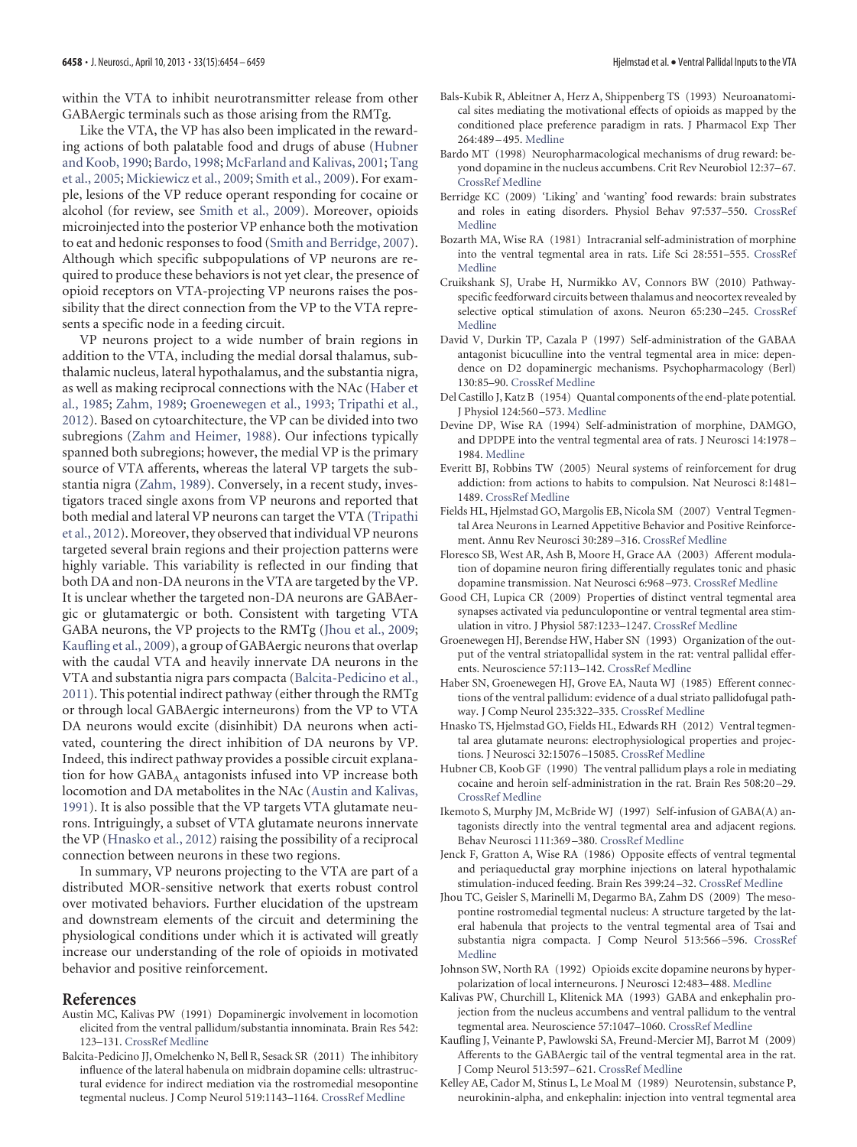within the VTA to inhibit neurotransmitter release from other GABAergic terminals such as those arising from the RMTg.

Like the VTA, the VP has also been implicated in the rewarding actions of both palatable food and drugs of abuse [\(Hubner](#page-4-19) [and Koob, 1990;](#page-4-19) [Bardo, 1998;](#page-4-20) [McFarland and Kalivas, 2001;](#page-5-22) [Tang](#page-5-23) [et al., 2005;](#page-5-23) [Mickiewicz et al., 2009;](#page-5-24) [Smith et al., 2009\)](#page-5-17). For example, lesions of the VP reduce operant responding for cocaine or alcohol (for review, see [Smith et al., 2009\)](#page-5-17). Moreover, opioids microinjected into the posterior VP enhance both the motivation to eat and hedonic responses to food [\(Smith and Berridge, 2007\)](#page-5-25). Although which specific subpopulations of VP neurons are required to produce these behaviors is not yet clear, the presence of opioid receptors on VTA-projecting VP neurons raises the possibility that the direct connection from the VP to the VTA represents a specific node in a feeding circuit.

VP neurons project to a wide number of brain regions in addition to the VTA, including the medial dorsal thalamus, subthalamic nucleus, lateral hypothalamus, and the substantia nigra, as well as making reciprocal connections with the NAc [\(Haber et](#page-4-11) [al., 1985;](#page-4-11) [Zahm, 1989;](#page-5-26) [Groenewegen et al., 1993;](#page-4-21) [Tripathi et al.,](#page-5-27) [2012\)](#page-5-27). Based on cytoarchitecture, the VP can be divided into two subregions [\(Zahm and Heimer, 1988\)](#page-5-28). Our infections typically spanned both subregions; however, the medial VP is the primary source of VTA afferents, whereas the lateral VP targets the substantia nigra [\(Zahm, 1989\)](#page-5-26). Conversely, in a recent study, investigators traced single axons from VP neurons and reported that both medial and lateral VP neurons can target the VTA [\(Tripathi](#page-5-27) [et al., 2012\)](#page-5-27). Moreover, they observed that individual VP neurons targeted several brain regions and their projection patterns were highly variable. This variability is reflected in our finding that both DA and non-DA neurons in the VTA are targeted by the VP. It is unclear whether the targeted non-DA neurons are GABAergic or glutamatergic or both. Consistent with targeting VTA GABA neurons, the VP projects to the RMTg [\(Jhou et al., 2009;](#page-4-12) [Kaufling et al., 2009\)](#page-4-22), a group of GABAergic neurons that overlap with the caudal VTA and heavily innervate DA neurons in the VTA and substantia nigra pars compacta [\(Balcita-Pedicino et al.,](#page-4-14) [2011\)](#page-4-14). This potential indirect pathway (either through the RMTg or through local GABAergic interneurons) from the VP to VTA DA neurons would excite (disinhibit) DA neurons when activated, countering the direct inhibition of DA neurons by VP. Indeed, this indirect pathway provides a possible circuit explanation for how  $GABA_A$  antagonists infused into VP increase both locomotion and DA metabolites in the NAc [\(Austin and Kalivas,](#page-4-23) [1991\)](#page-4-23). It is also possible that the VP targets VTA glutamate neurons. Intriguingly, a subset of VTA glutamate neurons innervate the VP [\(Hnasko et al., 2012\)](#page-4-24) raising the possibility of a reciprocal connection between neurons in these two regions.

In summary, VP neurons projecting to the VTA are part of a distributed MOR-sensitive network that exerts robust control over motivated behaviors. Further elucidation of the upstream and downstream elements of the circuit and determining the physiological conditions under which it is activated will greatly increase our understanding of the role of opioids in motivated behavior and positive reinforcement.

#### <span id="page-4-23"></span>**References**

- Austin MC, Kalivas PW (1991) Dopaminergic involvement in locomotion elicited from the ventral pallidum/substantia innominata. Brain Res 542: 123–131. [CrossRef](http://dx.doi.org/10.1016/0006-8993(91)91005-L) [Medline](http://www.ncbi.nlm.nih.gov/pubmed/2054650)
- <span id="page-4-14"></span>Balcita-Pedicino JJ, Omelchenko N, Bell R, Sesack SR (2011) The inhibitory influence of the lateral habenula on midbrain dopamine cells: ultrastructural evidence for indirect mediation via the rostromedial mesopontine tegmental nucleus. J Comp Neurol 519:1143–1164. [CrossRef](http://dx.doi.org/10.1002/cne.22561) [Medline](http://www.ncbi.nlm.nih.gov/pubmed/21344406)
- <span id="page-4-5"></span>Bals-Kubik R, Ableitner A, Herz A, Shippenberg TS (1993) Neuroanatomical sites mediating the motivational effects of opioids as mapped by the conditioned place preference paradigm in rats. J Pharmacol Exp Ther 264:489 –495. [Medline](http://www.ncbi.nlm.nih.gov/pubmed/8093731)
- <span id="page-4-20"></span>Bardo MT (1998) Neuropharmacological mechanisms of drug reward: beyond dopamine in the nucleus accumbens. Crit Rev Neurobiol 12:37–67. [CrossRef](http://dx.doi.org/10.1615/CritRevNeurobiol.v12.i1-2.30) [Medline](http://www.ncbi.nlm.nih.gov/pubmed/9444481)
- <span id="page-4-2"></span>Berridge KC (2009) 'Liking' and 'wanting' food rewards: brain substrates and roles in eating disorders. Physiol Behav 97:537–550. [CrossRef](http://dx.doi.org/10.1016/j.physbeh.2009.02.044) [Medline](http://www.ncbi.nlm.nih.gov/pubmed/19336238)
- <span id="page-4-3"></span>Bozarth MA, Wise RA (1981) Intracranial self-administration of morphine into the ventral tegmental area in rats. Life Sci 28:551–555. [CrossRef](http://dx.doi.org/10.1016/0024-3205(81)90148-X) [Medline](http://www.ncbi.nlm.nih.gov/pubmed/7207031)
- <span id="page-4-16"></span>Cruikshank SJ, Urabe H, Nurmikko AV, Connors BW (2010) Pathwayspecific feedforward circuits between thalamus and neocortex revealed by selective optical stimulation of axons. Neuron 65:230 –245. [CrossRef](http://dx.doi.org/10.1016/j.neuron.2009.12.025) [Medline](http://www.ncbi.nlm.nih.gov/pubmed/20152129)
- <span id="page-4-9"></span>David V, Durkin TP, Cazala P (1997) Self-administration of the GABAA antagonist bicuculline into the ventral tegmental area in mice: dependence on D2 dopaminergic mechanisms. Psychopharmacology (Berl) 130:85–90. [CrossRef](http://dx.doi.org/10.1007/s002130050214) [Medline](http://www.ncbi.nlm.nih.gov/pubmed/9106904)
- <span id="page-4-17"></span>Del Castillo J, Katz B (1954) Quantal components of the end-plate potential. J Physiol 124:560 –573. [Medline](http://www.ncbi.nlm.nih.gov/pubmed/13175199)
- <span id="page-4-4"></span>Devine DP, Wise RA (1994) Self-administration of morphine, DAMGO, and DPDPE into the ventral tegmental area of rats. J Neurosci 14:1978 – 1984. [Medline](http://www.ncbi.nlm.nih.gov/pubmed/8158252)
- <span id="page-4-0"></span>Everitt BJ, Robbins TW (2005) Neural systems of reinforcement for drug addiction: from actions to habits to compulsion. Nat Neurosci 8:1481– 1489. [CrossRef](http://dx.doi.org/10.1038/nn1579) [Medline](http://www.ncbi.nlm.nih.gov/pubmed/16251991)
- <span id="page-4-1"></span>Fields HL, Hjelmstad GO, Margolis EB, Nicola SM (2007) Ventral Tegmental Area Neurons in Learned Appetitive Behavior and Positive Reinforcement. Annu Rev Neurosci 30:289 –316. [CrossRef](http://dx.doi.org/10.1146/annurev.neuro.30.051606.094341) [Medline](http://www.ncbi.nlm.nih.gov/pubmed/17376009)
- <span id="page-4-18"></span>Floresco SB, West AR, Ash B, Moore H, Grace AA (2003) Afferent modulation of dopamine neuron firing differentially regulates tonic and phasic dopamine transmission. Nat Neurosci 6:968 –973. [CrossRef](http://dx.doi.org/10.1038/nn1103) [Medline](http://www.ncbi.nlm.nih.gov/pubmed/12897785)
- <span id="page-4-13"></span>Good CH, Lupica CR (2009) Properties of distinct ventral tegmental area synapses activated via pedunculopontine or ventral tegmental area stimulation in vitro. J Physiol 587:1233–1247. [CrossRef](http://dx.doi.org/10.1113/jphysiol.2008.164194) [Medline](http://www.ncbi.nlm.nih.gov/pubmed/19188251)
- <span id="page-4-21"></span>Groenewegen HJ, Berendse HW, Haber SN (1993) Organization of the output of the ventral striatopallidal system in the rat: ventral pallidal efferents. Neuroscience 57:113–142. [CrossRef](http://dx.doi.org/10.1016/0306-4522(93)90115-V) [Medline](http://www.ncbi.nlm.nih.gov/pubmed/8278047)
- <span id="page-4-11"></span>Haber SN, Groenewegen HJ, Grove EA, Nauta WJ (1985) Efferent connections of the ventral pallidum: evidence of a dual striato pallidofugal pathway. J Comp Neurol 235:322–335. [CrossRef](http://dx.doi.org/10.1002/cne.902350304) [Medline](http://www.ncbi.nlm.nih.gov/pubmed/3998213)
- <span id="page-4-24"></span>Hnasko TS, Hjelmstad GO, Fields HL, Edwards RH (2012) Ventral tegmental area glutamate neurons: electrophysiological properties and projections. J Neurosci 32:15076 –15085. [CrossRef](http://dx.doi.org/10.1523/JNEUROSCI.3128-12.2012) [Medline](http://www.ncbi.nlm.nih.gov/pubmed/23100428)
- <span id="page-4-19"></span>Hubner CB, Koob GF (1990) The ventral pallidum plays a role in mediating cocaine and heroin self-administration in the rat. Brain Res 508:20 –29. [CrossRef](http://dx.doi.org/10.1016/0006-8993(90)91112-T) [Medline](http://www.ncbi.nlm.nih.gov/pubmed/2337788)
- <span id="page-4-10"></span>Ikemoto S, Murphy JM, McBride WJ (1997) Self-infusion of GABA(A) antagonists directly into the ventral tegmental area and adjacent regions. Behav Neurosci 111:369 –380. [CrossRef](http://dx.doi.org/10.1037/0735-7044.111.2.369) [Medline](http://www.ncbi.nlm.nih.gov/pubmed/9106676)
- <span id="page-4-6"></span>Jenck F, Gratton A, Wise RA (1986) Opposite effects of ventral tegmental and periaqueductal gray morphine injections on lateral hypothalamic stimulation-induced feeding. Brain Res 399:24 –32. [CrossRef](http://dx.doi.org/10.1016/0006-8993(86)90597-4) [Medline](http://www.ncbi.nlm.nih.gov/pubmed/3026572)
- <span id="page-4-12"></span>Jhou TC, Geisler S, Marinelli M, Degarmo BA, Zahm DS (2009) The mesopontine rostromedial tegmental nucleus: A structure targeted by the lateral habenula that projects to the ventral tegmental area of Tsai and substantia nigra compacta. J Comp Neurol 513:566 –596. [CrossRef](http://dx.doi.org/10.1002/cne.21891) [Medline](http://www.ncbi.nlm.nih.gov/pubmed/19235216)
- <span id="page-4-8"></span>Johnson SW, North RA (1992) Opioids excite dopamine neurons by hyperpolarization of local interneurons. J Neurosci 12:483–488. [Medline](http://www.ncbi.nlm.nih.gov/pubmed/1346804)
- <span id="page-4-15"></span>Kalivas PW, Churchill L, Klitenick MA (1993) GABA and enkephalin projection from the nucleus accumbens and ventral pallidum to the ventral tegmental area. Neuroscience 57:1047–1060. [CrossRef](http://dx.doi.org/10.1016/0306-4522(93)90048-K) [Medline](http://www.ncbi.nlm.nih.gov/pubmed/7508582)
- <span id="page-4-22"></span>Kaufling J, Veinante P, Pawlowski SA, Freund-Mercier MJ, Barrot M (2009) Afferents to the GABAergic tail of the ventral tegmental area in the rat. J Comp Neurol 513:597–621. [CrossRef](http://dx.doi.org/10.1002/cne.21983) [Medline](http://www.ncbi.nlm.nih.gov/pubmed/19235223)
- <span id="page-4-7"></span>Kelley AE, Cador M, Stinus L, Le Moal M (1989) Neurotensin, substance P, neurokinin-alpha, and enkephalin: injection into ventral tegmental area